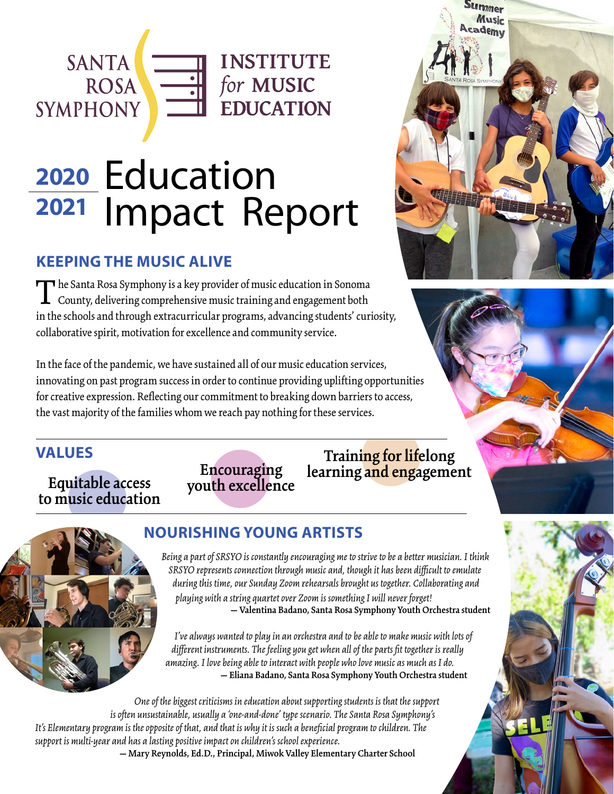

# 2020 Education 2021 Impact Report

#### **KEEPING THE MUSIC ALIVE**

The Santa Rosa Symphony is a key provider of music education in Sonoma  $\perp$  County, delivering comprehensive music training and engagement both in the schools and through extracurricular programs, advancing students' curiosity, collaborative spirit, motivation for excellence and community service.

In the face of the pandemic, we have sustained all of our music education services, innovating on past program success in order to continue providing uplifting opportunities for creative expression. Reflecting our commitment to breaking down barriers to access, the vast majority of the families whom we reach pay nothing for these services.

#### **VALUES**

**Equitable access to music education**

#### **Encouraging youth excellence**

# **Training for lifelong learning and engagement**



### **NOURISHING YOUNG ARTISTS**

*Being a part of SRSYO is constantly encouraging me to strive to be a better musician. I think SRSYO represents connection through music and, though it has been difficult to emulate during this time, our Sunday Zoom rehearsals brought us together. Collaborating and playing with a string quartet over Zoom is something I will never forget!* **— Valentina Badano, Santa Rosa Symphony Youth Orchestra student**

*I've always wanted to play in an orchestra and to be able to make music with lots of different instruments. The feeling you get when all of the parts fit together is really amazing. I love being able to interact with people who love music as much as I do.* **— Eliana Badano, Santa Rosa Symphony Youth Orchestra student**

*One of the biggest criticisms in education about supporting students is that the support is often unsustainable, usually a 'one-and-done' type scenario. The Santa Rosa Symphony's It's Elementary program is the opposite of that, and that is why it is such a beneficial program to children. The support is multi-year and has a lasting positive impact on children's school experience.*

**— Mary Reynolds, Ed.D., Principal, Miwok Valley Elementary Charter School**